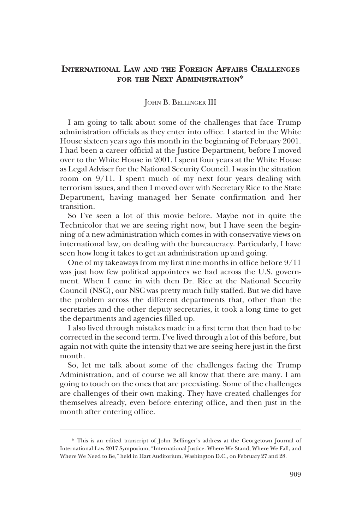# **INTERNATIONAL LAW AND THE FOREIGN AFFAIRS CHALLENGES FOR THE NEXT ADMINISTRATION\***

#### JOHN B. BELLINGER III

I am going to talk about some of the challenges that face Trump administration officials as they enter into office. I started in the White House sixteen years ago this month in the beginning of February 2001. I had been a career official at the Justice Department, before I moved over to the White House in 2001. I spent four years at the White House as Legal Adviser for the National Security Council. I was in the situation room on 9/11. I spent much of my next four years dealing with terrorism issues, and then I moved over with Secretary Rice to the State Department, having managed her Senate confirmation and her transition.

So I've seen a lot of this movie before. Maybe not in quite the Technicolor that we are seeing right now, but I have seen the beginning of a new administration which comes in with conservative views on international law, on dealing with the bureaucracy. Particularly, I have seen how long it takes to get an administration up and going.

One of my takeaways from my first nine months in office before 9/11 was just how few political appointees we had across the U.S. government. When I came in with then Dr. Rice at the National Security Council (NSC), our NSC was pretty much fully staffed. But we did have the problem across the different departments that, other than the secretaries and the other deputy secretaries, it took a long time to get the departments and agencies filled up.

I also lived through mistakes made in a first term that then had to be corrected in the second term. I've lived through a lot of this before, but again not with quite the intensity that we are seeing here just in the first month.

So, let me talk about some of the challenges facing the Trump Administration, and of course we all know that there are many. I am going to touch on the ones that are preexisting. Some of the challenges are challenges of their own making. They have created challenges for themselves already, even before entering office, and then just in the month after entering office.

<sup>\*</sup> This is an edited transcript of John Bellinger's address at the Georgetown Journal of International Law 2017 Symposium, "International Justice: Where We Stand, Where We Fall, and Where We Need to Be," held in Hart Auditorium, Washington D.C., on February 27 and 28.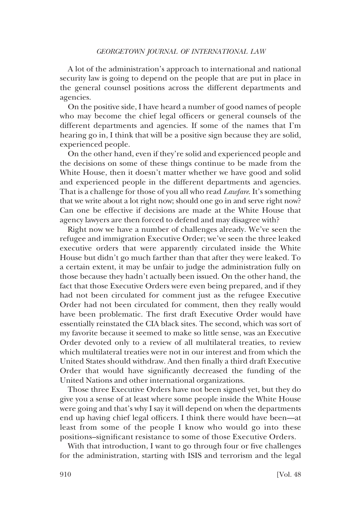A lot of the administration's approach to international and national security law is going to depend on the people that are put in place in the general counsel positions across the different departments and agencies.

On the positive side, I have heard a number of good names of people who may become the chief legal officers or general counsels of the different departments and agencies. If some of the names that I'm hearing go in, I think that will be a positive sign because they are solid, experienced people.

On the other hand, even if they're solid and experienced people and the decisions on some of these things continue to be made from the White House, then it doesn't matter whether we have good and solid and experienced people in the different departments and agencies. That is a challenge for those of you all who read *Lawfare*. It's something that we write about a lot right now; should one go in and serve right now? Can one be effective if decisions are made at the White House that agency lawyers are then forced to defend and may disagree with?

Right now we have a number of challenges already. We've seen the refugee and immigration Executive Order; we've seen the three leaked executive orders that were apparently circulated inside the White House but didn't go much farther than that after they were leaked. To a certain extent, it may be unfair to judge the administration fully on those because they hadn't actually been issued. On the other hand, the fact that those Executive Orders were even being prepared, and if they had not been circulated for comment just as the refugee Executive Order had not been circulated for comment, then they really would have been problematic. The first draft Executive Order would have essentially reinstated the CIA black sites. The second, which was sort of my favorite because it seemed to make so little sense, was an Executive Order devoted only to a review of all multilateral treaties, to review which multilateral treaties were not in our interest and from which the United States should withdraw. And then finally a third draft Executive Order that would have significantly decreased the funding of the United Nations and other international organizations.

Those three Executive Orders have not been signed yet, but they do give you a sense of at least where some people inside the White House were going and that's why I say it will depend on when the departments end up having chief legal officers. I think there would have been—at least from some of the people I know who would go into these positions–significant resistance to some of those Executive Orders.

With that introduction, I want to go through four or five challenges for the administration, starting with ISIS and terrorism and the legal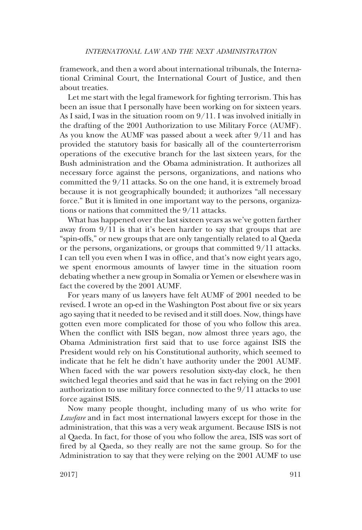framework, and then a word about international tribunals, the International Criminal Court, the International Court of Justice, and then about treaties.

Let me start with the legal framework for fighting terrorism. This has been an issue that I personally have been working on for sixteen years. As I said, I was in the situation room on 9/11. I was involved initially in the drafting of the 2001 Authorization to use Military Force (AUMF). As you know the AUMF was passed about a week after 9/11 and has provided the statutory basis for basically all of the counterterrorism operations of the executive branch for the last sixteen years, for the Bush administration and the Obama administration. It authorizes all necessary force against the persons, organizations, and nations who committed the 9/11 attacks. So on the one hand, it is extremely broad because it is not geographically bounded; it authorizes "all necessary force." But it is limited in one important way to the persons, organizations or nations that committed the 9/11 attacks.

What has happened over the last sixteen years as we've gotten farther away from 9/11 is that it's been harder to say that groups that are "spin-offs," or new groups that are only tangentially related to al Qaeda or the persons, organizations, or groups that committed 9/11 attacks. I can tell you even when I was in office, and that's now eight years ago, we spent enormous amounts of lawyer time in the situation room debating whether a new group in Somalia or Yemen or elsewhere was in fact the covered by the 2001 AUMF.

For years many of us lawyers have felt AUMF of 2001 needed to be revised. I wrote an op-ed in the Washington Post about five or six years ago saying that it needed to be revised and it still does. Now, things have gotten even more complicated for those of you who follow this area. When the conflict with ISIS began, now almost three years ago, the Obama Administration first said that to use force against ISIS the President would rely on his Constitutional authority, which seemed to indicate that he felt he didn't have authority under the 2001 AUMF. When faced with the war powers resolution sixty-day clock, he then switched legal theories and said that he was in fact relying on the 2001 authorization to use military force connected to the 9/11 attacks to use force against ISIS.

Now many people thought, including many of us who write for *Lawfare* and in fact most international lawyers except for those in the administration, that this was a very weak argument. Because ISIS is not al Qaeda. In fact, for those of you who follow the area, ISIS was sort of fired by al Qaeda, so they really are not the same group. So for the Administration to say that they were relying on the 2001 AUMF to use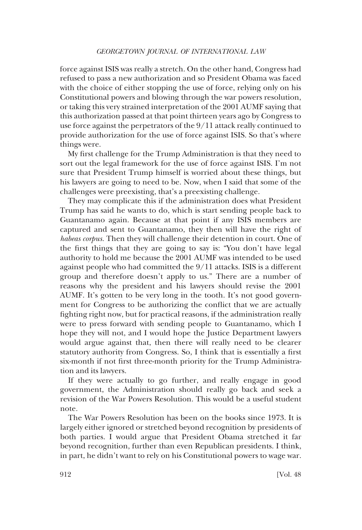force against ISIS was really a stretch. On the other hand, Congress had refused to pass a new authorization and so President Obama was faced with the choice of either stopping the use of force, relying only on his Constitutional powers and blowing through the war powers resolution, or taking this very strained interpretation of the 2001 AUMF saying that this authorization passed at that point thirteen years ago by Congress to use force against the perpetrators of the 9/11 attack really continued to provide authorization for the use of force against ISIS. So that's where things were.

My first challenge for the Trump Administration is that they need to sort out the legal framework for the use of force against ISIS. I'm not sure that President Trump himself is worried about these things, but his lawyers are going to need to be. Now, when I said that some of the challenges were preexisting, that's a preexisting challenge.

They may complicate this if the administration does what President Trump has said he wants to do, which is start sending people back to Guantanamo again. Because at that point if any ISIS members are captured and sent to Guantanamo, they then will have the right of *habeas corpus.* Then they will challenge their detention in court. One of the first things that they are going to say is: "You don't have legal authority to hold me because the 2001 AUMF was intended to be used against people who had committed the 9/11 attacks. ISIS is a different group and therefore doesn't apply to us." There are a number of reasons why the president and his lawyers should revise the 2001 AUMF. It's gotten to be very long in the tooth. It's not good government for Congress to be authorizing the conflict that we are actually fighting right now, but for practical reasons, if the administration really were to press forward with sending people to Guantanamo, which I hope they will not, and I would hope the Justice Department lawyers would argue against that, then there will really need to be clearer statutory authority from Congress. So, I think that is essentially a first six-month if not first three-month priority for the Trump Administration and its lawyers.

If they were actually to go further, and really engage in good government, the Administration should really go back and seek a revision of the War Powers Resolution. This would be a useful student note.

The War Powers Resolution has been on the books since 1973. It is largely either ignored or stretched beyond recognition by presidents of both parties. I would argue that President Obama stretched it far beyond recognition, further than even Republican presidents. I think, in part, he didn't want to rely on his Constitutional powers to wage war.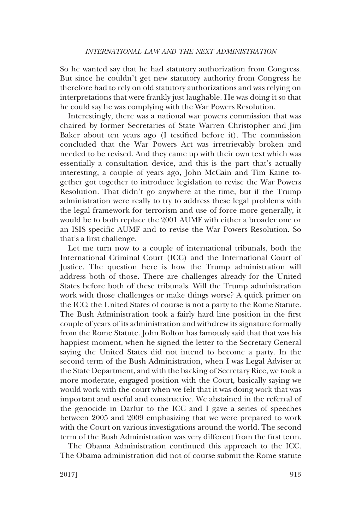So he wanted say that he had statutory authorization from Congress. But since he couldn't get new statutory authority from Congress he therefore had to rely on old statutory authorizations and was relying on interpretations that were frankly just laughable. He was doing it so that he could say he was complying with the War Powers Resolution.

Interestingly, there was a national war powers commission that was chaired by former Secretaries of State Warren Christopher and Jim Baker about ten years ago (I testified before it). The commission concluded that the War Powers Act was irretrievably broken and needed to be revised. And they came up with their own text which was essentially a consultation device, and this is the part that's actually interesting, a couple of years ago, John McCain and Tim Kaine together got together to introduce legislation to revise the War Powers Resolution. That didn't go anywhere at the time, but if the Trump administration were really to try to address these legal problems with the legal framework for terrorism and use of force more generally, it would be to both replace the 2001 AUMF with either a broader one or an ISIS specific AUMF and to revise the War Powers Resolution. So that's a first challenge.

Let me turn now to a couple of international tribunals, both the International Criminal Court (ICC) and the International Court of Justice. The question here is how the Trump administration will address both of those. There are challenges already for the United States before both of these tribunals. Will the Trump administration work with those challenges or make things worse? A quick primer on the ICC: the United States of course is not a party to the Rome Statute. The Bush Administration took a fairly hard line position in the first couple of years of its administration and withdrew its signature formally from the Rome Statute. John Bolton has famously said that that was his happiest moment, when he signed the letter to the Secretary General saying the United States did not intend to become a party. In the second term of the Bush Administration, when I was Legal Adviser at the State Department, and with the backing of Secretary Rice, we took a more moderate, engaged position with the Court, basically saying we would work with the court when we felt that it was doing work that was important and useful and constructive. We abstained in the referral of the genocide in Darfur to the ICC and I gave a series of speeches between 2005 and 2009 emphasizing that we were prepared to work with the Court on various investigations around the world. The second term of the Bush Administration was very different from the first term.

The Obama Administration continued this approach to the ICC. The Obama administration did not of course submit the Rome statute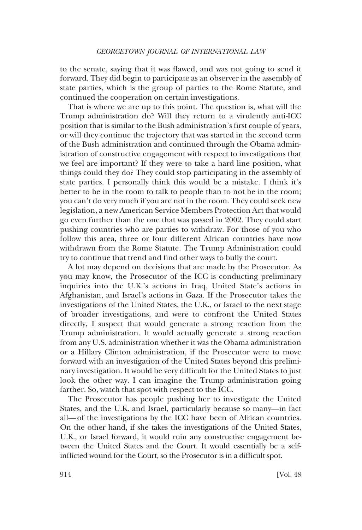to the senate, saying that it was flawed, and was not going to send it forward. They did begin to participate as an observer in the assembly of state parties, which is the group of parties to the Rome Statute, and continued the cooperation on certain investigations.

That is where we are up to this point. The question is, what will the Trump administration do? Will they return to a virulently anti-ICC position that is similar to the Bush administration's first couple of years, or will they continue the trajectory that was started in the second term of the Bush administration and continued through the Obama administration of constructive engagement with respect to investigations that we feel are important? If they were to take a hard line position, what things could they do? They could stop participating in the assembly of state parties. I personally think this would be a mistake. I think it's better to be in the room to talk to people than to not be in the room; you can't do very much if you are not in the room. They could seek new legislation, a new American Service Members Protection Act that would go even further than the one that was passed in 2002. They could start pushing countries who are parties to withdraw. For those of you who follow this area, three or four different African countries have now withdrawn from the Rome Statute. The Trump Administration could try to continue that trend and find other ways to bully the court.

A lot may depend on decisions that are made by the Prosecutor. As you may know, the Prosecutor of the ICC is conducting preliminary inquiries into the U.K.'s actions in Iraq, United State's actions in Afghanistan, and Israel's actions in Gaza. If the Prosecutor takes the investigations of the United States, the U.K., or Israel to the next stage of broader investigations, and were to confront the United States directly, I suspect that would generate a strong reaction from the Trump administration. It would actually generate a strong reaction from any U.S. administration whether it was the Obama administration or a Hillary Clinton administration, if the Prosecutor were to move forward with an investigation of the United States beyond this preliminary investigation. It would be very difficult for the United States to just look the other way. I can imagine the Trump administration going farther. So, watch that spot with respect to the ICC.

The Prosecutor has people pushing her to investigate the United States, and the U.K. and Israel, particularly because so many—in fact all— of the investigations by the ICC have been of African countries. On the other hand, if she takes the investigations of the United States, U.K., or Israel forward, it would ruin any constructive engagement between the United States and the Court. It would essentially be a selfinflicted wound for the Court, so the Prosecutor is in a difficult spot.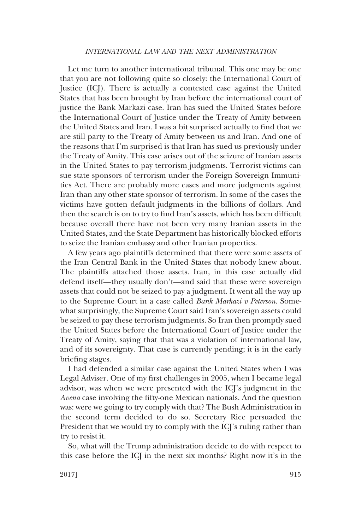### *INTERNATIONAL LAW AND THE NEXT ADMINISTRATION*

Let me turn to another international tribunal. This one may be one that you are not following quite so closely: the International Court of Justice (ICJ). There is actually a contested case against the United States that has been brought by Iran before the international court of justice the Bank Markazi case. Iran has sued the United States before the International Court of Justice under the Treaty of Amity between the United States and Iran. I was a bit surprised actually to find that we are still party to the Treaty of Amity between us and Iran. And one of the reasons that I'm surprised is that Iran has sued us previously under the Treaty of Amity. This case arises out of the seizure of Iranian assets in the United States to pay terrorism judgments. Terrorist victims can sue state sponsors of terrorism under the Foreign Sovereign Immunities Act. There are probably more cases and more judgments against Iran than any other state sponsor of terrorism. In some of the cases the victims have gotten default judgments in the billions of dollars. And then the search is on to try to find Iran's assets, which has been difficult because overall there have not been very many Iranian assets in the United States, and the State Department has historically blocked efforts to seize the Iranian embassy and other Iranian properties.

A few years ago plaintiffs determined that there were some assets of the Iran Central Bank in the United States that nobody knew about. The plaintiffs attached those assets. Iran, in this case actually did defend itself—they usually don't—and said that these were sovereign assets that could not be seized to pay a judgment. It went all the way up to the Supreme Court in a case called *Bank Markazi v Peterson*. Somewhat surprisingly, the Supreme Court said Iran's sovereign assets could be seized to pay these terrorism judgments. So Iran then promptly sued the United States before the International Court of Justice under the Treaty of Amity, saying that that was a violation of international law, and of its sovereignty. That case is currently pending; it is in the early briefing stages.

I had defended a similar case against the United States when I was Legal Adviser. One of my first challenges in 2005, when I became legal advisor, was when we were presented with the ICJ's judgment in the *Avena* case involving the fifty-one Mexican nationals. And the question was: were we going to try comply with that? The Bush Administration in the second term decided to do so. Secretary Rice persuaded the President that we would try to comply with the ICJ's ruling rather than try to resist it.

So, what will the Trump administration decide to do with respect to this case before the ICJ in the next six months? Right now it's in the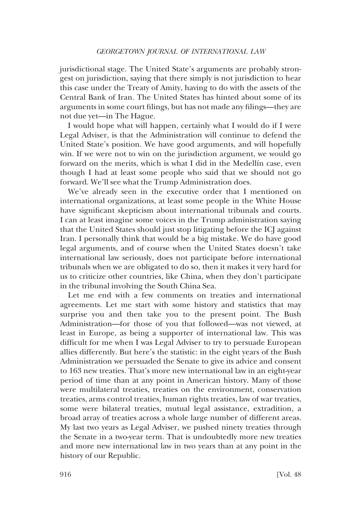jurisdictional stage. The United State's arguments are probably strongest on jurisdiction, saying that there simply is not jurisdiction to hear this case under the Treaty of Amity, having to do with the assets of the Central Bank of Iran. The United States has hinted about some of its arguments in some court filings, but has not made any filings—they are not due yet—in The Hague.

I would hope what will happen, certainly what I would do if I were Legal Adviser, is that the Administration will continue to defend the United State's position. We have good arguments, and will hopefully win. If we were not to win on the jurisdiction argument, we would go forward on the merits, which is what I did in the Medellín case, even though I had at least some people who said that we should not go forward. We'll see what the Trump Administration does.

We've already seen in the executive order that I mentioned on international organizations, at least some people in the White House have significant skepticism about international tribunals and courts. I can at least imagine some voices in the Trump administration saying that the United States should just stop litigating before the ICJ against Iran. I personally think that would be a big mistake. We do have good legal arguments, and of course when the United States doesn't take international law seriously, does not participate before international tribunals when we are obligated to do so, then it makes it very hard for us to criticize other countries, like China, when they don't participate in the tribunal involving the South China Sea.

Let me end with a few comments on treaties and international agreements. Let me start with some history and statistics that may surprise you and then take you to the present point. The Bush Administration—for those of you that followed—was not viewed, at least in Europe, as being a supporter of international law. This was difficult for me when I was Legal Adviser to try to persuade European allies differently. But here's the statistic: in the eight years of the Bush Administration we persuaded the Senate to give its advice and consent to 163 new treaties. That's more new international law in an eight-year period of time than at any point in American history. Many of those were multilateral treaties, treaties on the environment, conservation treaties, arms control treaties, human rights treaties, law of war treaties, some were bilateral treaties, mutual legal assistance, extradition, a broad array of treaties across a whole large number of different areas. My last two years as Legal Adviser, we pushed ninety treaties through the Senate in a two-year term. That is undoubtedly more new treaties and more new international law in two years than at any point in the history of our Republic.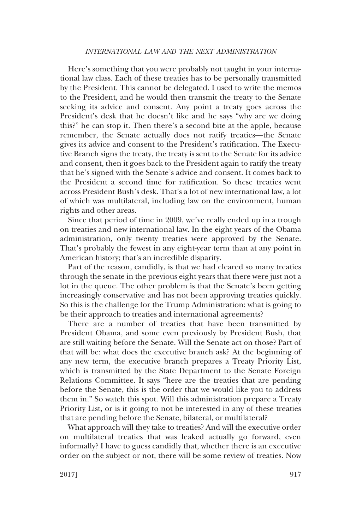## *INTERNATIONAL LAW AND THE NEXT ADMINISTRATION*

Here's something that you were probably not taught in your international law class. Each of these treaties has to be personally transmitted by the President. This cannot be delegated. I used to write the memos to the President, and he would then transmit the treaty to the Senate seeking its advice and consent. Any point a treaty goes across the President's desk that he doesn't like and he says "why are we doing this?" he can stop it. Then there's a second bite at the apple, because remember, the Senate actually does not ratify treaties—the Senate gives its advice and consent to the President's ratification. The Executive Branch signs the treaty, the treaty is sent to the Senate for its advice and consent, then it goes back to the President again to ratify the treaty that he's signed with the Senate's advice and consent. It comes back to the President a second time for ratification. So these treaties went across President Bush's desk. That's a lot of new international law, a lot of which was multilateral, including law on the environment, human rights and other areas.

Since that period of time in 2009, we've really ended up in a trough on treaties and new international law. In the eight years of the Obama administration, only twenty treaties were approved by the Senate. That's probably the fewest in any eight-year term than at any point in American history; that's an incredible disparity.

Part of the reason, candidly, is that we had cleared so many treaties through the senate in the previous eight years that there were just not a lot in the queue. The other problem is that the Senate's been getting increasingly conservative and has not been approving treaties quickly. So this is the challenge for the Trump Administration: what is going to be their approach to treaties and international agreements?

There are a number of treaties that have been transmitted by President Obama, and some even previously by President Bush, that are still waiting before the Senate. Will the Senate act on those? Part of that will be: what does the executive branch ask? At the beginning of any new term, the executive branch prepares a Treaty Priority List, which is transmitted by the State Department to the Senate Foreign Relations Committee. It says "here are the treaties that are pending before the Senate, this is the order that we would like you to address them in." So watch this spot. Will this administration prepare a Treaty Priority List, or is it going to not be interested in any of these treaties that are pending before the Senate, bilateral, or multilateral?

What approach will they take to treaties? And will the executive order on multilateral treaties that was leaked actually go forward, even informally? I have to guess candidly that, whether there is an executive order on the subject or not, there will be some review of treaties. Now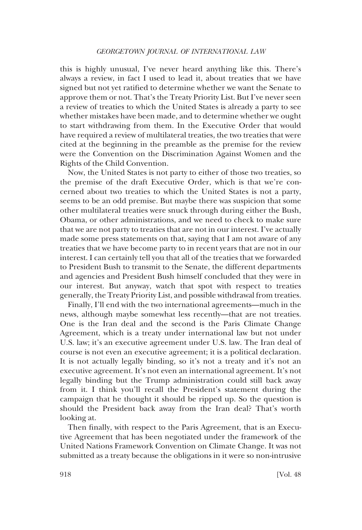this is highly unusual, I've never heard anything like this. There's always a review, in fact I used to lead it, about treaties that we have signed but not yet ratified to determine whether we want the Senate to approve them or not. That's the Treaty Priority List. But I've never seen a review of treaties to which the United States is already a party to see whether mistakes have been made, and to determine whether we ought to start withdrawing from them. In the Executive Order that would have required a review of multilateral treaties, the two treaties that were cited at the beginning in the preamble as the premise for the review were the Convention on the Discrimination Against Women and the Rights of the Child Convention.

Now, the United States is not party to either of those two treaties, so the premise of the draft Executive Order, which is that we're concerned about two treaties to which the United States is not a party, seems to be an odd premise. But maybe there was suspicion that some other multilateral treaties were snuck through during either the Bush, Obama, or other administrations, and we need to check to make sure that we are not party to treaties that are not in our interest. I've actually made some press statements on that, saying that I am not aware of any treaties that we have become party to in recent years that are not in our interest. I can certainly tell you that all of the treaties that we forwarded to President Bush to transmit to the Senate, the different departments and agencies and President Bush himself concluded that they were in our interest. But anyway, watch that spot with respect to treaties generally, the Treaty Priority List, and possible withdrawal from treaties.

Finally, I'll end with the two international agreements—much in the news, although maybe somewhat less recently—that are not treaties. One is the Iran deal and the second is the Paris Climate Change Agreement, which is a treaty under international law but not under U.S. law; it's an executive agreement under U.S. law. The Iran deal of course is not even an executive agreement; it is a political declaration. It is not actually legally binding, so it's not a treaty and it's not an executive agreement. It's not even an international agreement. It's not legally binding but the Trump administration could still back away from it. I think you'll recall the President's statement during the campaign that he thought it should be ripped up. So the question is should the President back away from the Iran deal? That's worth looking at.

Then finally, with respect to the Paris Agreement, that is an Executive Agreement that has been negotiated under the framework of the United Nations Framework Convention on Climate Change. It was not submitted as a treaty because the obligations in it were so non-intrusive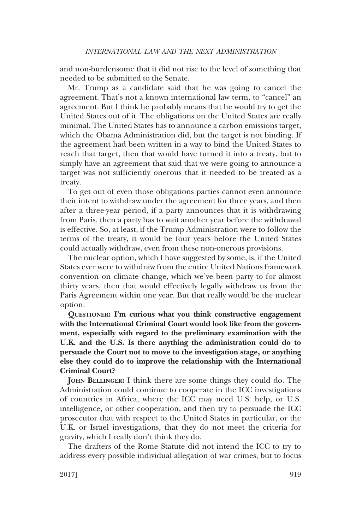and non-burdensome that it did not rise to the level of something that needed to be submitted to the Senate.

Mr. Trump as a candidate said that he was going to cancel the agreement. That's not a known international law term, to "cancel" an agreement. But I think he probably means that he would try to get the United States out of it. The obligations on the United States are really minimal. The United States has to announce a carbon emissions target, which the Obama Administration did, but the target is not binding. If the agreement had been written in a way to bind the United States to reach that target, then that would have turned it into a treaty, but to simply have an agreement that said that we were going to announce a target was not sufficiently onerous that it needed to be treated as a treaty.

To get out of even those obligations parties cannot even announce their intent to withdraw under the agreement for three years, and then after a three-year period, if a party announces that it is withdrawing from Paris, then a party has to wait another year before the withdrawal is effective. So, at least, if the Trump Administration were to follow the terms of the treaty, it would be four years before the United States could actually withdraw, even from these non-onerous provisions.

The nuclear option, which I have suggested by some, is, if the United States ever were to withdraw from the entire United Nations framework convention on climate change, which we've been party to for almost thirty years, then that would effectively legally withdraw us from the Paris Agreement within one year. But that really would be the nuclear option.

**QUESTIONER: I'm curious what you think constructive engagement with the International Criminal Court would look like from the government, especially with regard to the preliminary examination with the U.K. and the U.S. Is there anything the administration could do to persuade the Court not to move to the investigation stage, or anything else they could do to improve the relationship with the International Criminal Court?**

**JOHN BELLINGER:** I think there are some things they could do. The Administration could continue to cooperate in the ICC investigations of countries in Africa, where the ICC may need U.S. help, or U.S. intelligence, or other cooperation, and then try to persuade the ICC prosecutor that with respect to the United States in particular, or the U.K. or Israel investigations, that they do not meet the criteria for gravity, which I really don't think they do.

The drafters of the Rome Statute did not intend the ICC to try to address every possible individual allegation of war crimes, but to focus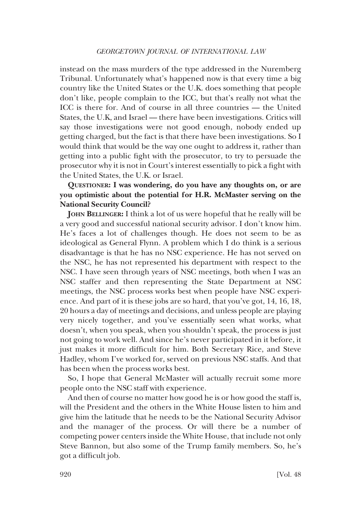instead on the mass murders of the type addressed in the Nuremberg Tribunal. Unfortunately what's happened now is that every time a big country like the United States or the U.K. does something that people don't like, people complain to the ICC, but that's really not what the ICC is there for. And of course in all three countries — the United States, the U.K, and Israel — there have been investigations. Critics will say those investigations were not good enough, nobody ended up getting charged, but the fact is that there have been investigations. So I would think that would be the way one ought to address it, rather than getting into a public fight with the prosecutor, to try to persuade the prosecutor why it is not in Court's interest essentially to pick a fight with the United States, the U.K. or Israel.

**QUESTIONER: I was wondering, do you have any thoughts on, or are you optimistic about the potential for H.R. McMaster serving on the National Security Council?**

**JOHN BELLINGER:** I think a lot of us were hopeful that he really will be a very good and successful national security advisor. I don't know him. He's faces a lot of challenges though. He does not seem to be as ideological as General Flynn. A problem which I do think is a serious disadvantage is that he has no NSC experience. He has not served on the NSC, he has not represented his department with respect to the NSC. I have seen through years of NSC meetings, both when I was an NSC staffer and then representing the State Department at NSC meetings, the NSC process works best when people have NSC experience. And part of it is these jobs are so hard, that you've got, 14, 16, 18, 20 hours a day of meetings and decisions, and unless people are playing very nicely together, and you've essentially seen what works, what doesn't, when you speak, when you shouldn't speak, the process is just not going to work well. And since he's never participated in it before, it just makes it more difficult for him. Both Secretary Rice, and Steve Hadley, whom I've worked for, served on previous NSC staffs. And that has been when the process works best.

So, I hope that General McMaster will actually recruit some more people onto the NSC staff with experience.

And then of course no matter how good he is or how good the staff is, will the President and the others in the White House listen to him and give him the latitude that he needs to be the National Security Advisor and the manager of the process. Or will there be a number of competing power centers inside the White House, that include not only Steve Bannon, but also some of the Trump family members. So, he's got a difficult job.